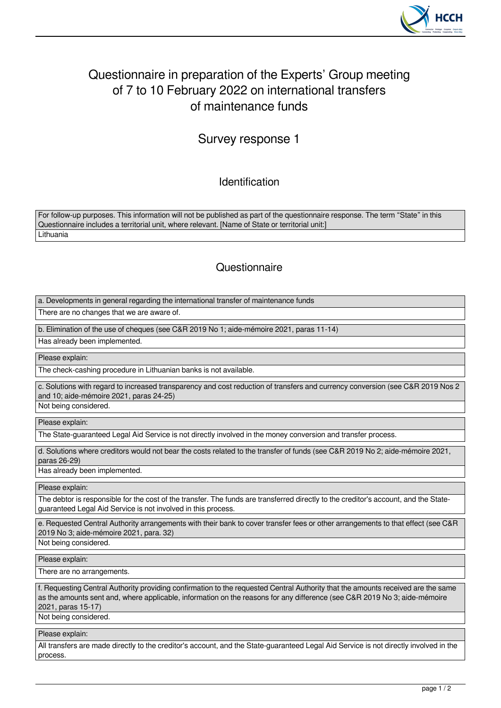

# Questionnaire in preparation of the Experts' Group meeting of 7 to 10 February 2022 on international transfers of maintenance funds

Survey response 1

Identification

For follow-up purposes. This information will not be published as part of the questionnaire response. The term "State" in this Questionnaire includes a territorial unit, where relevant. [Name of State or territorial unit:] **Lithuania** 

## **Questionnaire**

a. Developments in general regarding the international transfer of maintenance funds

There are no changes that we are aware of.

b. Elimination of the use of cheques (see C&R 2019 No 1; aide-mémoire 2021, paras 11-14)

Has already been implemented.

Please explain:

The check-cashing procedure in Lithuanian banks is not available.

c. Solutions with regard to increased transparency and cost reduction of transfers and currency conversion (see C&R 2019 Nos 2 and 10; aide-mémoire 2021, paras 24-25)

Not being considered.

Please explain:

The State-guaranteed Legal Aid Service is not directly involved in the money conversion and transfer process.

d. Solutions where creditors would not bear the costs related to the transfer of funds (see C&R 2019 No 2; aide-mémoire 2021, paras 26-29)

Has already been implemented.

Please explain:

The debtor is responsible for the cost of the transfer. The funds are transferred directly to the creditor's account, and the Stateguaranteed Legal Aid Service is not involved in this process.

e. Requested Central Authority arrangements with their bank to cover transfer fees or other arrangements to that effect (see C&R 2019 No 3; aide-mémoire 2021, para. 32)

Not being considered.

Please explain:

There are no arrangements.

f. Requesting Central Authority providing confirmation to the requested Central Authority that the amounts received are the same as the amounts sent and, where applicable, information on the reasons for any difference (see C&R 2019 No 3; aide-mémoire 2021, paras 15-17)

Not being considered.

Please explain:

All transfers are made directly to the creditor's account, and the State-guaranteed Legal Aid Service is not directly involved in the process.